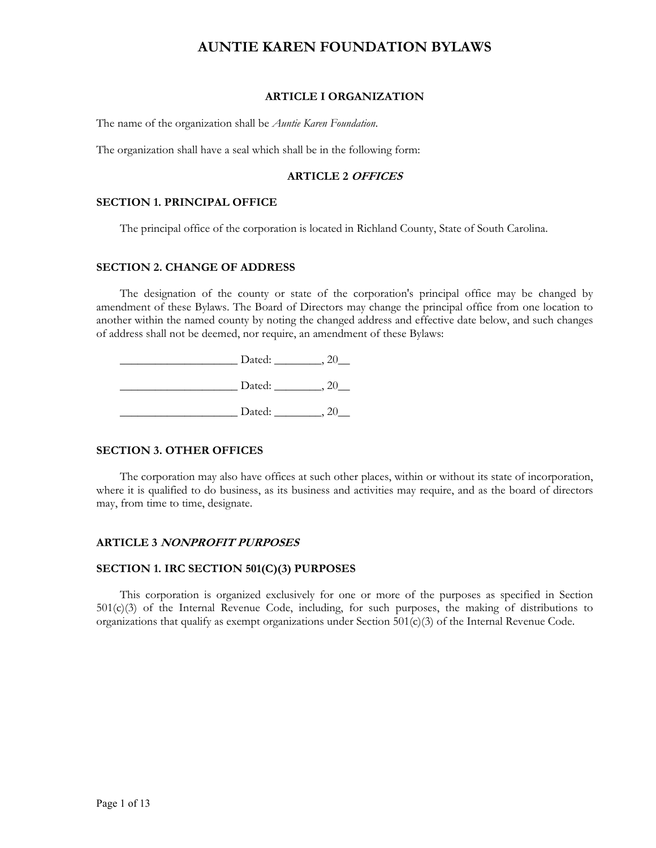## **ARTICLE I ORGANIZATION**

The name of the organization shall be *Auntie Karen Foundation*.

The organization shall have a seal which shall be in the following form:

## **ARTICLE 2 OFFICES**

## **SECTION 1. PRINCIPAL OFFICE**

The principal office of the corporation is located in Richland County, State of South Carolina.

## **SECTION 2. CHANGE OF ADDRESS**

The designation of the county or state of the corporation's principal office may be changed by amendment of these Bylaws. The Board of Directors may change the principal office from one location to another within the named county by noting the changed address and effective date below, and such changes of address shall not be deemed, nor require, an amendment of these Bylaws:

| Dated: |  |
|--------|--|
| Dated: |  |
| Dated: |  |

## **SECTION 3. OTHER OFFICES**

The corporation may also have offices at such other places, within or without its state of incorporation, where it is qualified to do business, as its business and activities may require, and as the board of directors may, from time to time, designate.

## **ARTICLE 3 NONPROFIT PURPOSES**

## **SECTION 1. IRC SECTION 501(C)(3) PURPOSES**

This corporation is organized exclusively for one or more of the purposes as specified in Section 501(c)(3) of the Internal Revenue Code, including, for such purposes, the making of distributions to organizations that qualify as exempt organizations under Section  $501(c)(3)$  of the Internal Revenue Code.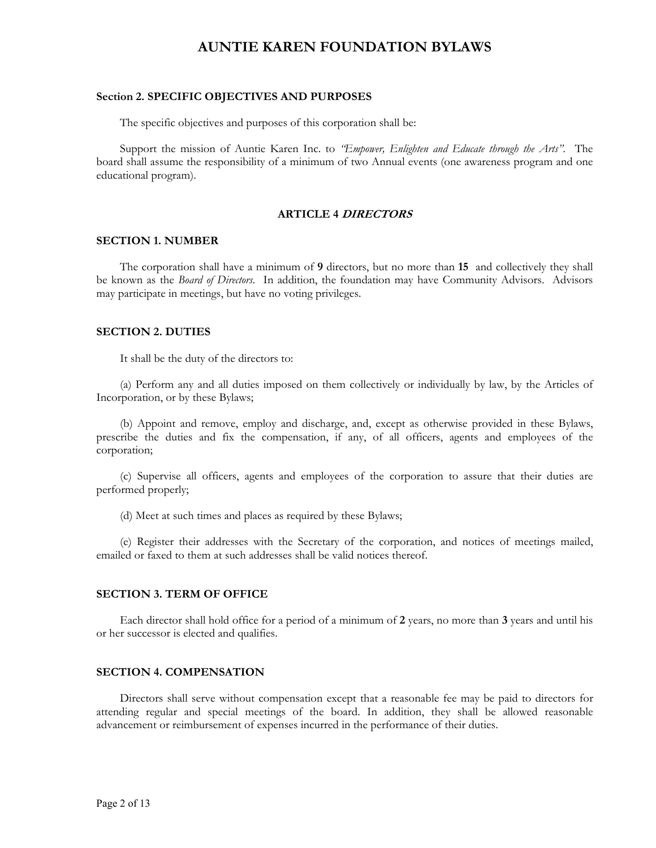#### **Section 2. SPECIFIC OBJECTIVES AND PURPOSES**

The specific objectives and purposes of this corporation shall be:

Support the mission of Auntie Karen Inc. to *"Empower, Enlighten and Educate through the Arts"*. The board shall assume the responsibility of a minimum of two Annual events (one awareness program and one educational program).

#### **ARTICLE 4 DIRECTORS**

#### **SECTION 1. NUMBER**

The corporation shall have a minimum of **9** directors, but no more than **15** and collectively they shall be known as the *Board of Directors*. In addition, the foundation may have Community Advisors. Advisors may participate in meetings, but have no voting privileges.

#### **SECTION 2. DUTIES**

It shall be the duty of the directors to:

(a) Perform any and all duties imposed on them collectively or individually by law, by the Articles of Incorporation, or by these Bylaws;

(b) Appoint and remove, employ and discharge, and, except as otherwise provided in these Bylaws, prescribe the duties and fix the compensation, if any, of all officers, agents and employees of the corporation;

(c) Supervise all officers, agents and employees of the corporation to assure that their duties are performed properly;

(d) Meet at such times and places as required by these Bylaws;

(e) Register their addresses with the Secretary of the corporation, and notices of meetings mailed, emailed or faxed to them at such addresses shall be valid notices thereof.

#### **SECTION 3. TERM OF OFFICE**

Each director shall hold office for a period of a minimum of **2** years, no more than **3** years and until his or her successor is elected and qualifies.

### **SECTION 4. COMPENSATION**

Directors shall serve without compensation except that a reasonable fee may be paid to directors for attending regular and special meetings of the board. In addition, they shall be allowed reasonable advancement or reimbursement of expenses incurred in the performance of their duties.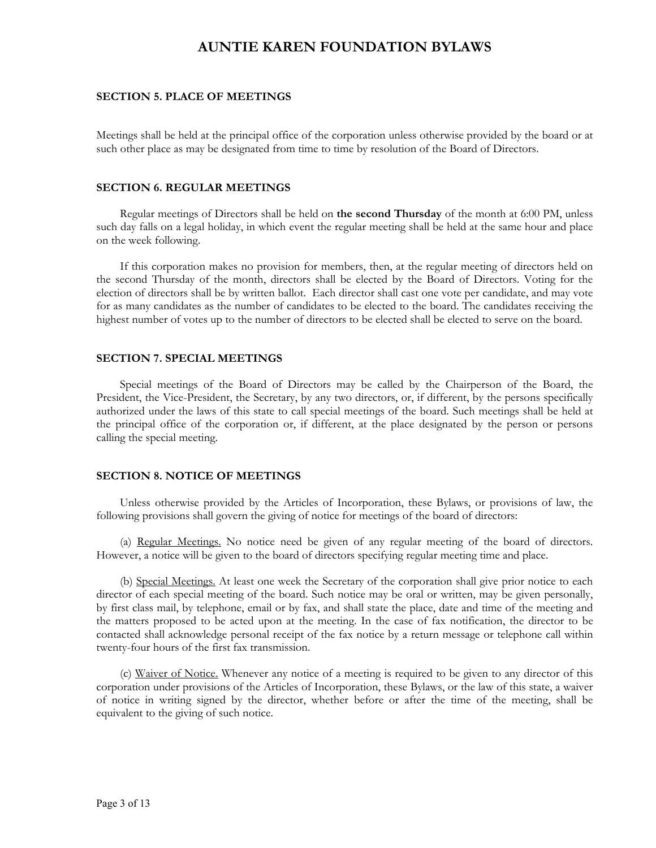## **SECTION 5. PLACE OF MEETINGS**

Meetings shall be held at the principal office of the corporation unless otherwise provided by the board or at such other place as may be designated from time to time by resolution of the Board of Directors.

## **SECTION 6. REGULAR MEETINGS**

Regular meetings of Directors shall be held on **the second Thursday** of the month at 6:00 PM, unless such day falls on a legal holiday, in which event the regular meeting shall be held at the same hour and place on the week following.

If this corporation makes no provision for members, then, at the regular meeting of directors held on the second Thursday of the month, directors shall be elected by the Board of Directors. Voting for the election of directors shall be by written ballot. Each director shall cast one vote per candidate, and may vote for as many candidates as the number of candidates to be elected to the board. The candidates receiving the highest number of votes up to the number of directors to be elected shall be elected to serve on the board.

## **SECTION 7. SPECIAL MEETINGS**

Special meetings of the Board of Directors may be called by the Chairperson of the Board, the President, the Vice-President, the Secretary, by any two directors, or, if different, by the persons specifically authorized under the laws of this state to call special meetings of the board. Such meetings shall be held at the principal office of the corporation or, if different, at the place designated by the person or persons calling the special meeting.

## **SECTION 8. NOTICE OF MEETINGS**

Unless otherwise provided by the Articles of Incorporation, these Bylaws, or provisions of law, the following provisions shall govern the giving of notice for meetings of the board of directors:

(a) Regular Meetings. No notice need be given of any regular meeting of the board of directors. However, a notice will be given to the board of directors specifying regular meeting time and place.

(b) Special Meetings. At least one week the Secretary of the corporation shall give prior notice to each director of each special meeting of the board. Such notice may be oral or written, may be given personally, by first class mail, by telephone, email or by fax, and shall state the place, date and time of the meeting and the matters proposed to be acted upon at the meeting. In the case of fax notification, the director to be contacted shall acknowledge personal receipt of the fax notice by a return message or telephone call within twenty-four hours of the first fax transmission.

(c) Waiver of Notice. Whenever any notice of a meeting is required to be given to any director of this corporation under provisions of the Articles of Incorporation, these Bylaws, or the law of this state, a waiver of notice in writing signed by the director, whether before or after the time of the meeting, shall be equivalent to the giving of such notice.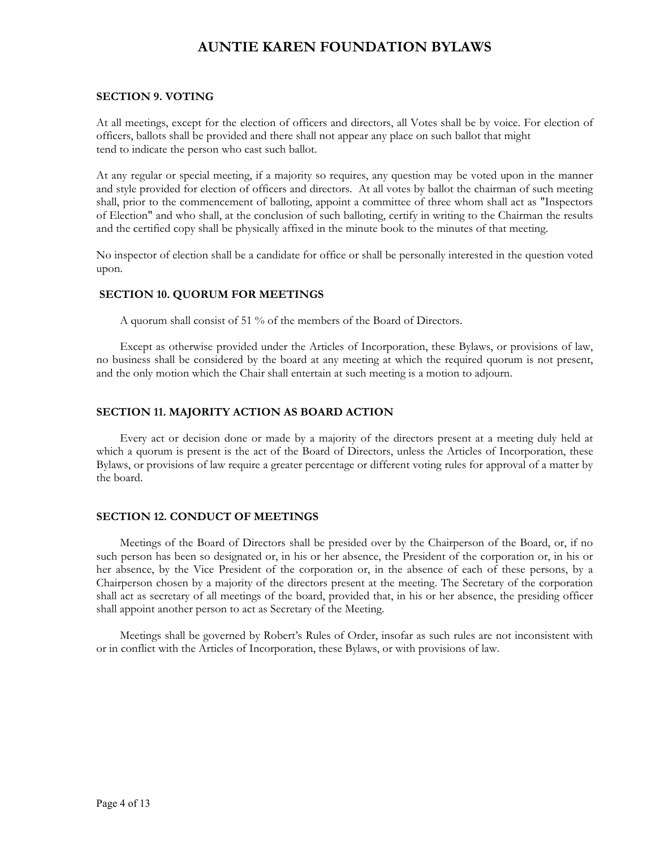## **SECTION 9. VOTING**

At all meetings, except for the election of officers and directors, all Votes shall be by voice. For election of officers, ballots shall be provided and there shall not appear any place on such ballot that might tend to indicate the person who cast such ballot.

At any regular or special meeting, if a majority so requires, any question may be voted upon in the manner and style provided for election of officers and directors. At all votes by ballot the chairman of such meeting shall, prior to the commencement of balloting, appoint a committee of three whom shall act as "Inspectors of Election" and who shall, at the conclusion of such balloting, certify in writing to the Chairman the results and the certified copy shall be physically affixed in the minute book to the minutes of that meeting.

No inspector of election shall be a candidate for office or shall be personally interested in the question voted upon.

## **SECTION 10. QUORUM FOR MEETINGS**

A quorum shall consist of 51 % of the members of the Board of Directors.

Except as otherwise provided under the Articles of Incorporation, these Bylaws, or provisions of law, no business shall be considered by the board at any meeting at which the required quorum is not present, and the only motion which the Chair shall entertain at such meeting is a motion to adjourn.

## **SECTION 11. MAJORITY ACTION AS BOARD ACTION**

Every act or decision done or made by a majority of the directors present at a meeting duly held at which a quorum is present is the act of the Board of Directors, unless the Articles of Incorporation, these Bylaws, or provisions of law require a greater percentage or different voting rules for approval of a matter by the board.

#### **SECTION 12. CONDUCT OF MEETINGS**

Meetings of the Board of Directors shall be presided over by the Chairperson of the Board, or, if no such person has been so designated or, in his or her absence, the President of the corporation or, in his or her absence, by the Vice President of the corporation or, in the absence of each of these persons, by a Chairperson chosen by a majority of the directors present at the meeting. The Secretary of the corporation shall act as secretary of all meetings of the board, provided that, in his or her absence, the presiding officer shall appoint another person to act as Secretary of the Meeting.

Meetings shall be governed by Robert's Rules of Order, insofar as such rules are not inconsistent with or in conflict with the Articles of Incorporation, these Bylaws, or with provisions of law.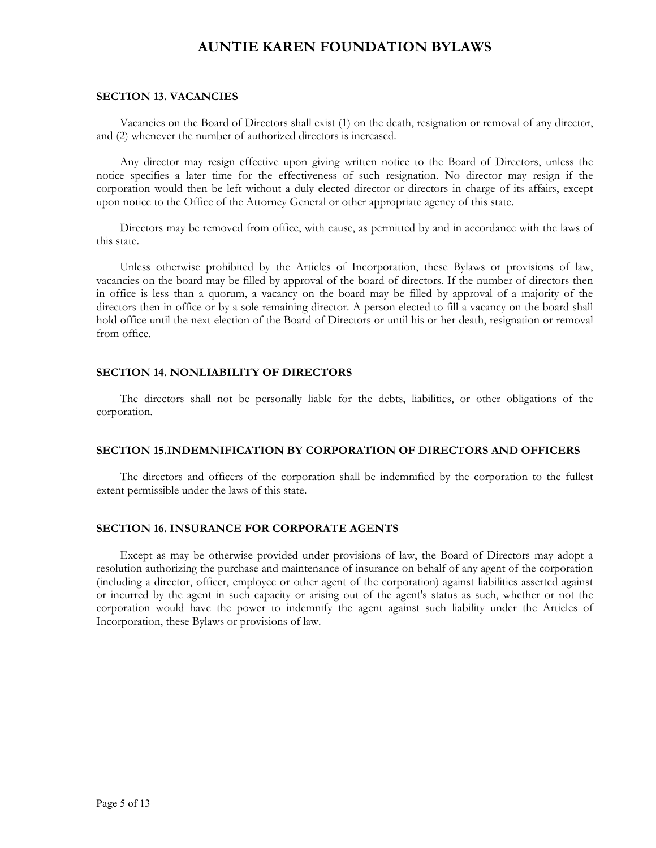#### **SECTION 13. VACANCIES**

Vacancies on the Board of Directors shall exist (1) on the death, resignation or removal of any director, and (2) whenever the number of authorized directors is increased.

Any director may resign effective upon giving written notice to the Board of Directors, unless the notice specifies a later time for the effectiveness of such resignation. No director may resign if the corporation would then be left without a duly elected director or directors in charge of its affairs, except upon notice to the Office of the Attorney General or other appropriate agency of this state.

Directors may be removed from office, with cause, as permitted by and in accordance with the laws of this state.

Unless otherwise prohibited by the Articles of Incorporation, these Bylaws or provisions of law, vacancies on the board may be filled by approval of the board of directors. If the number of directors then in office is less than a quorum, a vacancy on the board may be filled by approval of a majority of the directors then in office or by a sole remaining director. A person elected to fill a vacancy on the board shall hold office until the next election of the Board of Directors or until his or her death, resignation or removal from office.

## **SECTION 14. NONLIABILITY OF DIRECTORS**

The directors shall not be personally liable for the debts, liabilities, or other obligations of the corporation.

## **SECTION 15.INDEMNIFICATION BY CORPORATION OF DIRECTORS AND OFFICERS**

The directors and officers of the corporation shall be indemnified by the corporation to the fullest extent permissible under the laws of this state.

## **SECTION 16. INSURANCE FOR CORPORATE AGENTS**

Except as may be otherwise provided under provisions of law, the Board of Directors may adopt a resolution authorizing the purchase and maintenance of insurance on behalf of any agent of the corporation (including a director, officer, employee or other agent of the corporation) against liabilities asserted against or incurred by the agent in such capacity or arising out of the agent's status as such, whether or not the corporation would have the power to indemnify the agent against such liability under the Articles of Incorporation, these Bylaws or provisions of law.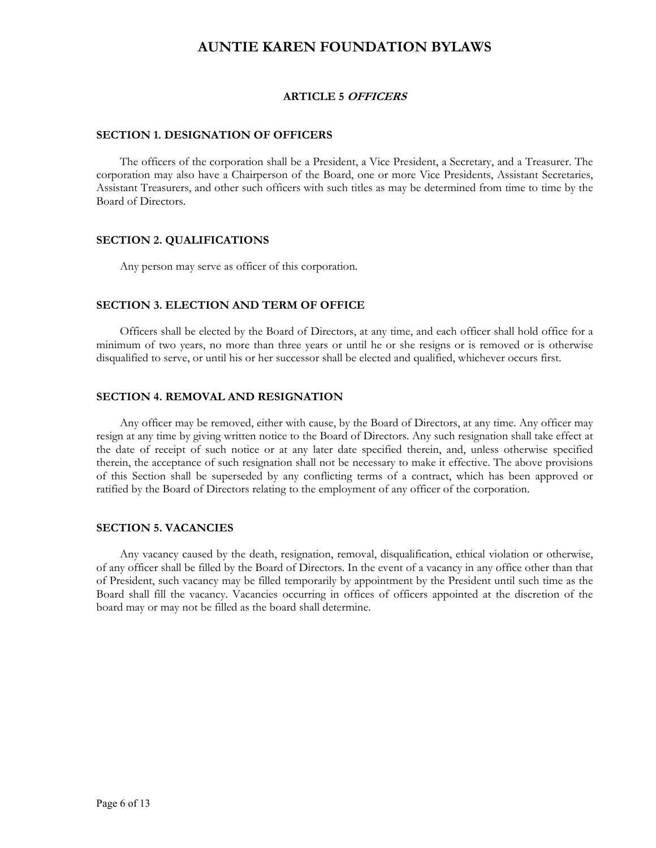## **ARTICLE 5 OFFICERS**

## **SECTION 1. DESIGNATION OF OFFICERS**

The officers of the corporation shall be a President, a Vice President, a Secretary, and a Treasurer. The corporation may also have a Chairperson of the Board, one or more Vice Presidents, Assistant Secretaries, Assistant Treasurers, and other such officers with such titles as may be determined from time to time by the Board of Directors.

## **SECTION 2. QUALIFICATIONS**

Any person may serve as officer of this corporation.

## **SECTION 3. ELECTION AND TERM OF OFFICE**

Officers shall be elected by the Board of Directors, at any time, and each officer shall hold office for a minimum of two years, no more than three years or until he or she resigns or is removed or is otherwise disqualified to serve, or until his or her successor shall be elected and qualified, whichever occurs first.

## **SECTION 4. REMOVAL AND RESIGNATION**

Any officer may be removed, either with cause, by the Board of Directors, at any time. Any officer may resign at any time by giving written notice to the Board of Directors. Any such resignation shall take effect at the date of receipt of such notice or at any later date specified therein, and, unless otherwise specified therein, the acceptance of such resignation shall not be necessary to make it effective. The above provisions of this Section shall be superseded by any conflicting terms of a contract, which has been approved or ratified by the Board of Directors relating to the employment of any officer of the corporation.

## **SECTION 5. VACANCIES**

Any vacancy caused by the death, resignation, removal, disqualification, ethical violation or otherwise, of any officer shall be filled by the Board of Directors. In the event of a vacancy in any office other than that of President, such vacancy may be filled temporarily by appointment by the President until such time as the Board shall fill the vacancy. Vacancies occurring in offices of officers appointed at the discretion of the board may or may not be filled as the board shall determine.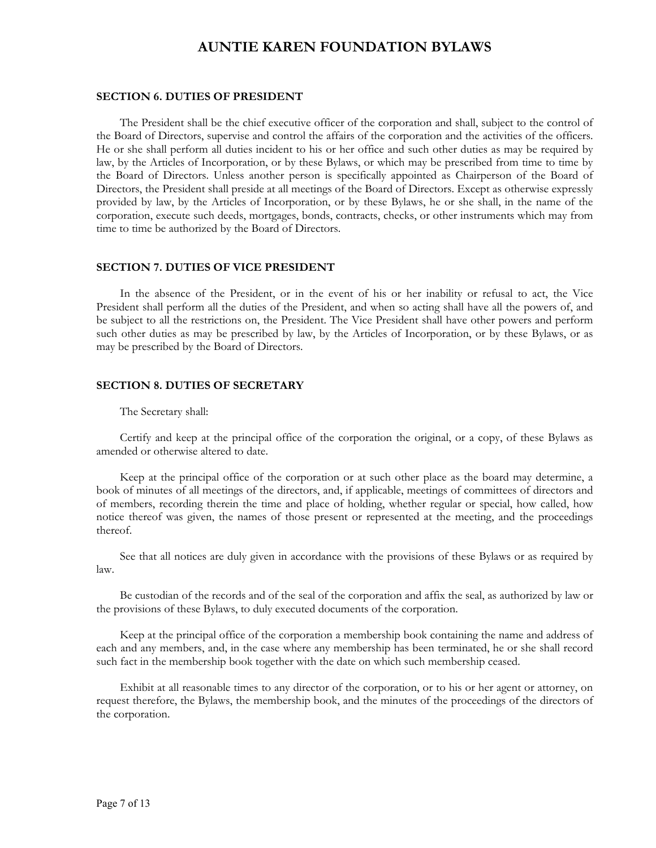#### **SECTION 6. DUTIES OF PRESIDENT**

The President shall be the chief executive officer of the corporation and shall, subject to the control of the Board of Directors, supervise and control the affairs of the corporation and the activities of the officers. He or she shall perform all duties incident to his or her office and such other duties as may be required by law, by the Articles of Incorporation, or by these Bylaws, or which may be prescribed from time to time by the Board of Directors. Unless another person is specifically appointed as Chairperson of the Board of Directors, the President shall preside at all meetings of the Board of Directors. Except as otherwise expressly provided by law, by the Articles of Incorporation, or by these Bylaws, he or she shall, in the name of the corporation, execute such deeds, mortgages, bonds, contracts, checks, or other instruments which may from time to time be authorized by the Board of Directors.

## **SECTION 7. DUTIES OF VICE PRESIDENT**

In the absence of the President, or in the event of his or her inability or refusal to act, the Vice President shall perform all the duties of the President, and when so acting shall have all the powers of, and be subject to all the restrictions on, the President. The Vice President shall have other powers and perform such other duties as may be prescribed by law, by the Articles of Incorporation, or by these Bylaws, or as may be prescribed by the Board of Directors.

## **SECTION 8. DUTIES OF SECRETARY**

The Secretary shall:

Certify and keep at the principal office of the corporation the original, or a copy, of these Bylaws as amended or otherwise altered to date.

Keep at the principal office of the corporation or at such other place as the board may determine, a book of minutes of all meetings of the directors, and, if applicable, meetings of committees of directors and of members, recording therein the time and place of holding, whether regular or special, how called, how notice thereof was given, the names of those present or represented at the meeting, and the proceedings thereof.

See that all notices are duly given in accordance with the provisions of these Bylaws or as required by law.

Be custodian of the records and of the seal of the corporation and affix the seal, as authorized by law or the provisions of these Bylaws, to duly executed documents of the corporation.

Keep at the principal office of the corporation a membership book containing the name and address of each and any members, and, in the case where any membership has been terminated, he or she shall record such fact in the membership book together with the date on which such membership ceased.

Exhibit at all reasonable times to any director of the corporation, or to his or her agent or attorney, on request therefore, the Bylaws, the membership book, and the minutes of the proceedings of the directors of the corporation.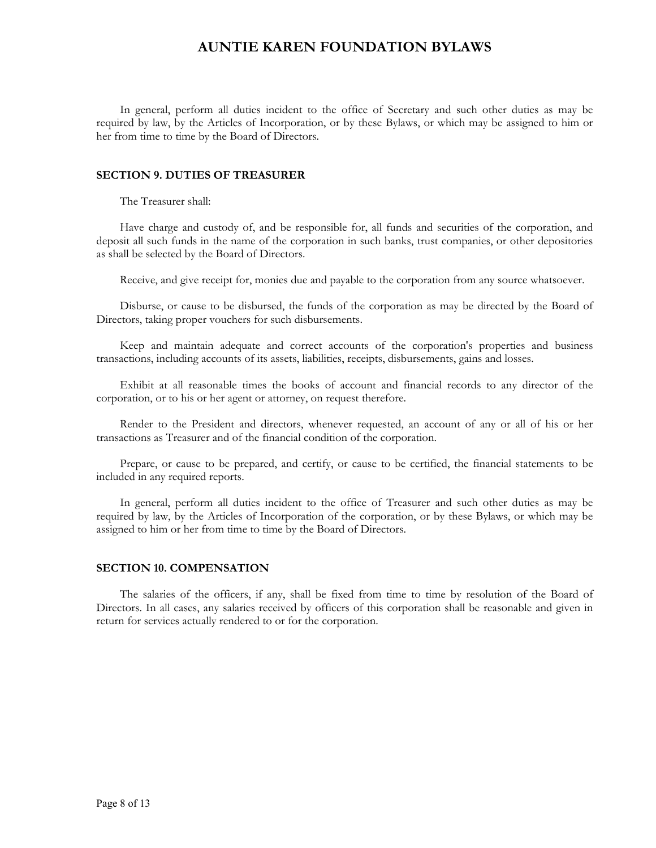In general, perform all duties incident to the office of Secretary and such other duties as may be required by law, by the Articles of Incorporation, or by these Bylaws, or which may be assigned to him or her from time to time by the Board of Directors.

## **SECTION 9. DUTIES OF TREASURER**

The Treasurer shall:

Have charge and custody of, and be responsible for, all funds and securities of the corporation, and deposit all such funds in the name of the corporation in such banks, trust companies, or other depositories as shall be selected by the Board of Directors.

Receive, and give receipt for, monies due and payable to the corporation from any source whatsoever.

Disburse, or cause to be disbursed, the funds of the corporation as may be directed by the Board of Directors, taking proper vouchers for such disbursements.

Keep and maintain adequate and correct accounts of the corporation's properties and business transactions, including accounts of its assets, liabilities, receipts, disbursements, gains and losses.

Exhibit at all reasonable times the books of account and financial records to any director of the corporation, or to his or her agent or attorney, on request therefore.

Render to the President and directors, whenever requested, an account of any or all of his or her transactions as Treasurer and of the financial condition of the corporation.

Prepare, or cause to be prepared, and certify, or cause to be certified, the financial statements to be included in any required reports.

In general, perform all duties incident to the office of Treasurer and such other duties as may be required by law, by the Articles of Incorporation of the corporation, or by these Bylaws, or which may be assigned to him or her from time to time by the Board of Directors.

### **SECTION 10. COMPENSATION**

The salaries of the officers, if any, shall be fixed from time to time by resolution of the Board of Directors. In all cases, any salaries received by officers of this corporation shall be reasonable and given in return for services actually rendered to or for the corporation.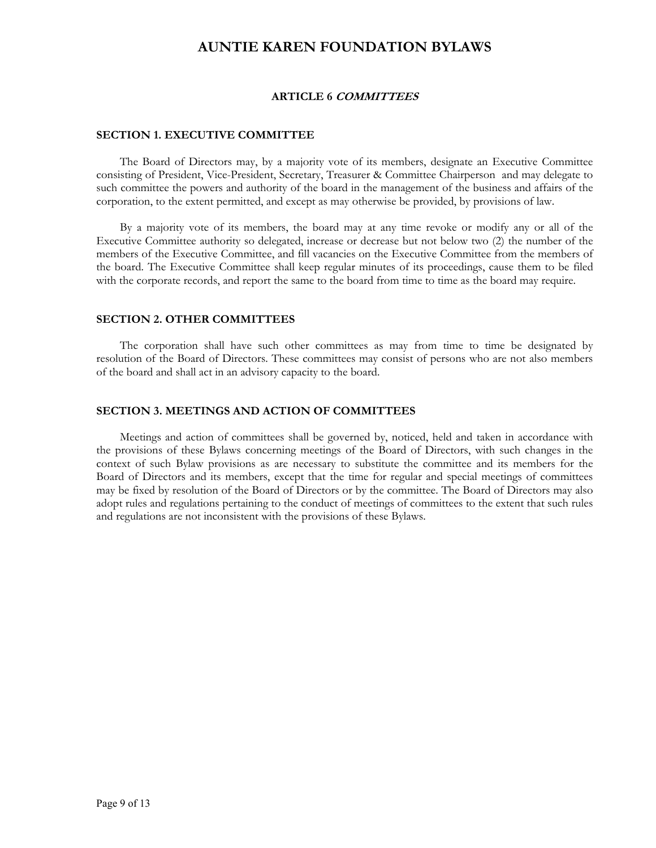### **ARTICLE 6 COMMITTEES**

#### **SECTION 1. EXECUTIVE COMMITTEE**

The Board of Directors may, by a majority vote of its members, designate an Executive Committee consisting of President, Vice-President, Secretary, Treasurer & Committee Chairperson and may delegate to such committee the powers and authority of the board in the management of the business and affairs of the corporation, to the extent permitted, and except as may otherwise be provided, by provisions of law.

By a majority vote of its members, the board may at any time revoke or modify any or all of the Executive Committee authority so delegated, increase or decrease but not below two (2) the number of the members of the Executive Committee, and fill vacancies on the Executive Committee from the members of the board. The Executive Committee shall keep regular minutes of its proceedings, cause them to be filed with the corporate records, and report the same to the board from time to time as the board may require.

## **SECTION 2. OTHER COMMITTEES**

The corporation shall have such other committees as may from time to time be designated by resolution of the Board of Directors. These committees may consist of persons who are not also members of the board and shall act in an advisory capacity to the board.

### **SECTION 3. MEETINGS AND ACTION OF COMMITTEES**

Meetings and action of committees shall be governed by, noticed, held and taken in accordance with the provisions of these Bylaws concerning meetings of the Board of Directors, with such changes in the context of such Bylaw provisions as are necessary to substitute the committee and its members for the Board of Directors and its members, except that the time for regular and special meetings of committees may be fixed by resolution of the Board of Directors or by the committee. The Board of Directors may also adopt rules and regulations pertaining to the conduct of meetings of committees to the extent that such rules and regulations are not inconsistent with the provisions of these Bylaws.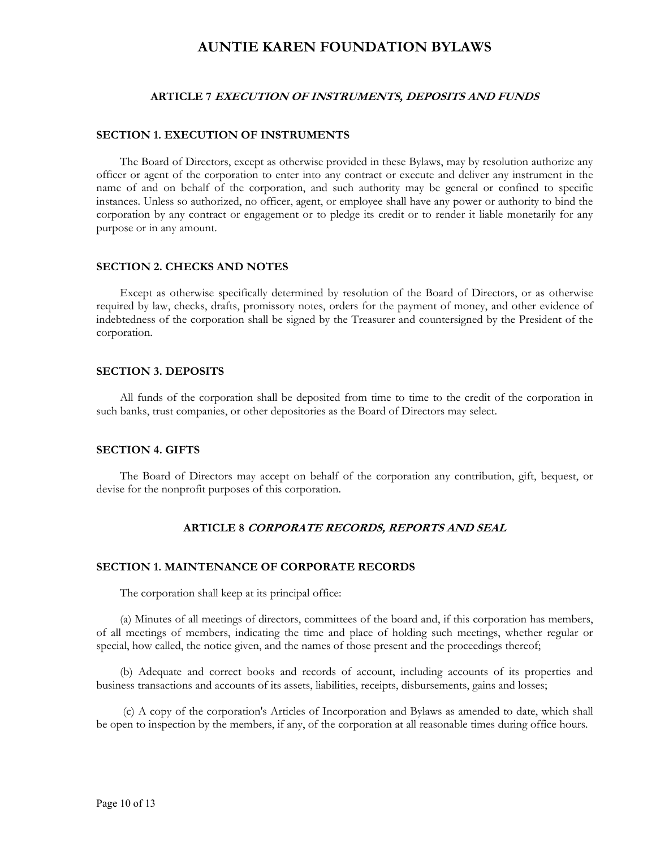## **ARTICLE 7 EXECUTION OF INSTRUMENTS, DEPOSITS AND FUNDS**

## **SECTION 1. EXECUTION OF INSTRUMENTS**

The Board of Directors, except as otherwise provided in these Bylaws, may by resolution authorize any officer or agent of the corporation to enter into any contract or execute and deliver any instrument in the name of and on behalf of the corporation, and such authority may be general or confined to specific instances. Unless so authorized, no officer, agent, or employee shall have any power or authority to bind the corporation by any contract or engagement or to pledge its credit or to render it liable monetarily for any purpose or in any amount.

### **SECTION 2. CHECKS AND NOTES**

Except as otherwise specifically determined by resolution of the Board of Directors, or as otherwise required by law, checks, drafts, promissory notes, orders for the payment of money, and other evidence of indebtedness of the corporation shall be signed by the Treasurer and countersigned by the President of the corporation.

### **SECTION 3. DEPOSITS**

All funds of the corporation shall be deposited from time to time to the credit of the corporation in such banks, trust companies, or other depositories as the Board of Directors may select.

#### **SECTION 4. GIFTS**

The Board of Directors may accept on behalf of the corporation any contribution, gift, bequest, or devise for the nonprofit purposes of this corporation.

## **ARTICLE 8 CORPORATE RECORDS, REPORTS AND SEAL**

## **SECTION 1. MAINTENANCE OF CORPORATE RECORDS**

The corporation shall keep at its principal office:

(a) Minutes of all meetings of directors, committees of the board and, if this corporation has members, of all meetings of members, indicating the time and place of holding such meetings, whether regular or special, how called, the notice given, and the names of those present and the proceedings thereof;

(b) Adequate and correct books and records of account, including accounts of its properties and business transactions and accounts of its assets, liabilities, receipts, disbursements, gains and losses;

 (c) A copy of the corporation's Articles of Incorporation and Bylaws as amended to date, which shall be open to inspection by the members, if any, of the corporation at all reasonable times during office hours.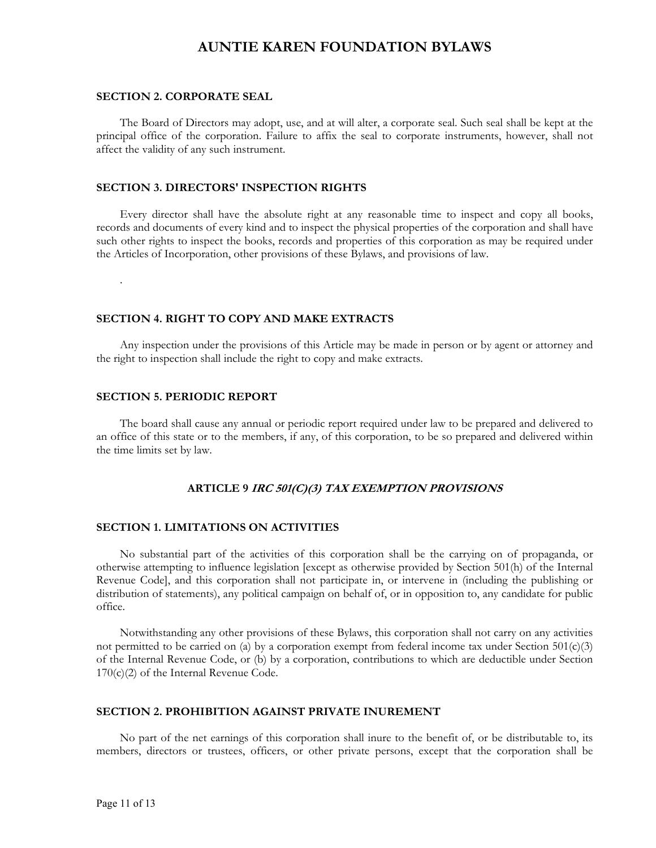#### **SECTION 2. CORPORATE SEAL**

The Board of Directors may adopt, use, and at will alter, a corporate seal. Such seal shall be kept at the principal office of the corporation. Failure to affix the seal to corporate instruments, however, shall not affect the validity of any such instrument.

## **SECTION 3. DIRECTORS' INSPECTION RIGHTS**

Every director shall have the absolute right at any reasonable time to inspect and copy all books, records and documents of every kind and to inspect the physical properties of the corporation and shall have such other rights to inspect the books, records and properties of this corporation as may be required under the Articles of Incorporation, other provisions of these Bylaws, and provisions of law.

## **SECTION 4. RIGHT TO COPY AND MAKE EXTRACTS**

Any inspection under the provisions of this Article may be made in person or by agent or attorney and the right to inspection shall include the right to copy and make extracts.

### **SECTION 5. PERIODIC REPORT**

.

The board shall cause any annual or periodic report required under law to be prepared and delivered to an office of this state or to the members, if any, of this corporation, to be so prepared and delivered within the time limits set by law.

#### **ARTICLE 9 IRC 501(C)(3) TAX EXEMPTION PROVISIONS**

#### **SECTION 1. LIMITATIONS ON ACTIVITIES**

No substantial part of the activities of this corporation shall be the carrying on of propaganda, or otherwise attempting to influence legislation [except as otherwise provided by Section 501(h) of the Internal Revenue Code], and this corporation shall not participate in, or intervene in (including the publishing or distribution of statements), any political campaign on behalf of, or in opposition to, any candidate for public office.

Notwithstanding any other provisions of these Bylaws, this corporation shall not carry on any activities not permitted to be carried on (a) by a corporation exempt from federal income tax under Section  $501(c)(3)$ of the Internal Revenue Code, or (b) by a corporation, contributions to which are deductible under Section  $170(c)(2)$  of the Internal Revenue Code.

#### **SECTION 2. PROHIBITION AGAINST PRIVATE INUREMENT**

No part of the net earnings of this corporation shall inure to the benefit of, or be distributable to, its members, directors or trustees, officers, or other private persons, except that the corporation shall be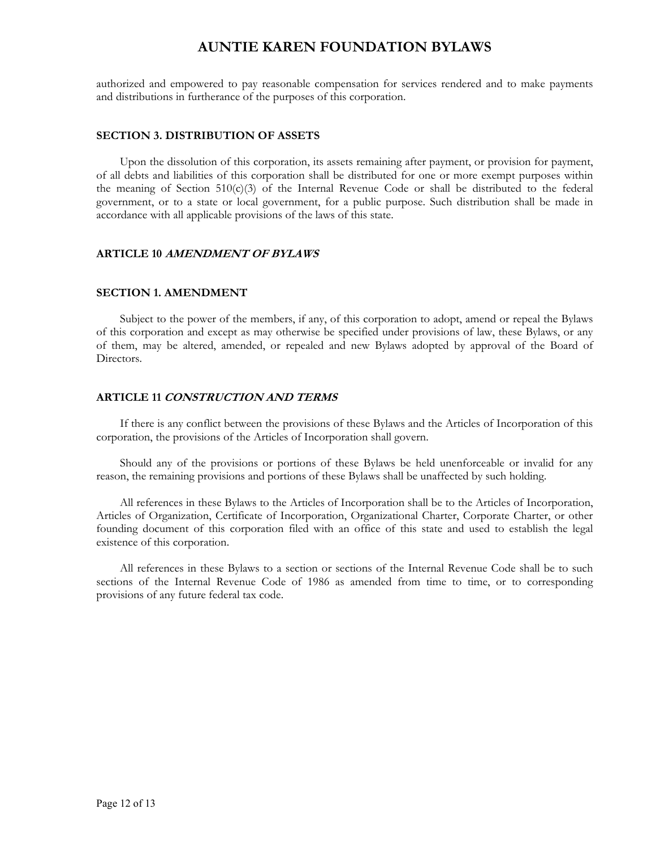authorized and empowered to pay reasonable compensation for services rendered and to make payments and distributions in furtherance of the purposes of this corporation.

## **SECTION 3. DISTRIBUTION OF ASSETS**

Upon the dissolution of this corporation, its assets remaining after payment, or provision for payment, of all debts and liabilities of this corporation shall be distributed for one or more exempt purposes within the meaning of Section  $510(c)(3)$  of the Internal Revenue Code or shall be distributed to the federal government, or to a state or local government, for a public purpose. Such distribution shall be made in accordance with all applicable provisions of the laws of this state.

#### **ARTICLE 10 AMENDMENT OF BYLAWS**

#### **SECTION 1. AMENDMENT**

Subject to the power of the members, if any, of this corporation to adopt, amend or repeal the Bylaws of this corporation and except as may otherwise be specified under provisions of law, these Bylaws, or any of them, may be altered, amended, or repealed and new Bylaws adopted by approval of the Board of Directors.

### **ARTICLE 11 CONSTRUCTION AND TERMS**

If there is any conflict between the provisions of these Bylaws and the Articles of Incorporation of this corporation, the provisions of the Articles of Incorporation shall govern.

Should any of the provisions or portions of these Bylaws be held unenforceable or invalid for any reason, the remaining provisions and portions of these Bylaws shall be unaffected by such holding.

All references in these Bylaws to the Articles of Incorporation shall be to the Articles of Incorporation, Articles of Organization, Certificate of Incorporation, Organizational Charter, Corporate Charter, or other founding document of this corporation filed with an office of this state and used to establish the legal existence of this corporation.

All references in these Bylaws to a section or sections of the Internal Revenue Code shall be to such sections of the Internal Revenue Code of 1986 as amended from time to time, or to corresponding provisions of any future federal tax code.